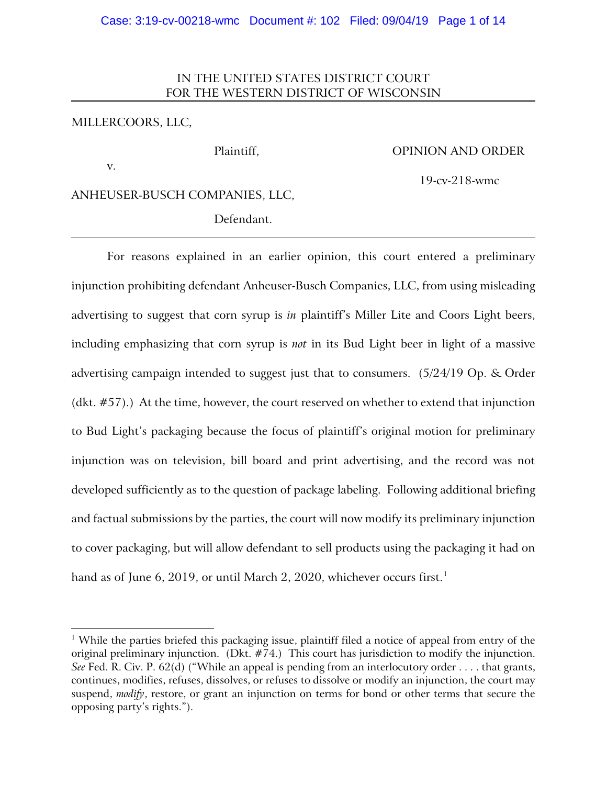## IN THE UNITED STATES DISTRICT COURT FOR THE WESTERN DISTRICT OF WISCONSIN

## MILLERCOORS, LLC,

### Plaintiff, OPINION AND ORDER

v.

 $\overline{a}$ 

19-cv-218-wmc

ANHEUSER-BUSCH COMPANIES, LLC,

Defendant.

For reasons explained in an earlier opinion, this court entered a preliminary injunction prohibiting defendant Anheuser-Busch Companies, LLC, from using misleading advertising to suggest that corn syrup is *in* plaintiff's Miller Lite and Coors Light beers, including emphasizing that corn syrup is *not* in its Bud Light beer in light of a massive advertising campaign intended to suggest just that to consumers. (5/24/19 Op. & Order (dkt. #57).) At the time, however, the court reserved on whether to extend that injunction to Bud Light's packaging because the focus of plaintiff's original motion for preliminary injunction was on television, bill board and print advertising, and the record was not developed sufficiently as to the question of package labeling. Following additional briefing and factual submissions by the parties, the court will now modify its preliminary injunction to cover packaging, but will allow defendant to sell products using the packaging it had on hand as of June 6, 2019, or until March 2, 2020, whichever occurs first. [1](#page-0-0)

<span id="page-0-0"></span><sup>&</sup>lt;sup>1</sup> While the parties briefed this packaging issue, plaintiff filed a notice of appeal from entry of the original preliminary injunction. (Dkt. #74.) This court has jurisdiction to modify the injunction. *See* Fed. R. Civ. P. 62(d) ("While an appeal is pending from an interlocutory order . . . . that grants, continues, modifies, refuses, dissolves, or refuses to dissolve or modify an injunction, the court may suspend, *modify*, restore, or grant an injunction on terms for bond or other terms that secure the opposing party's rights.").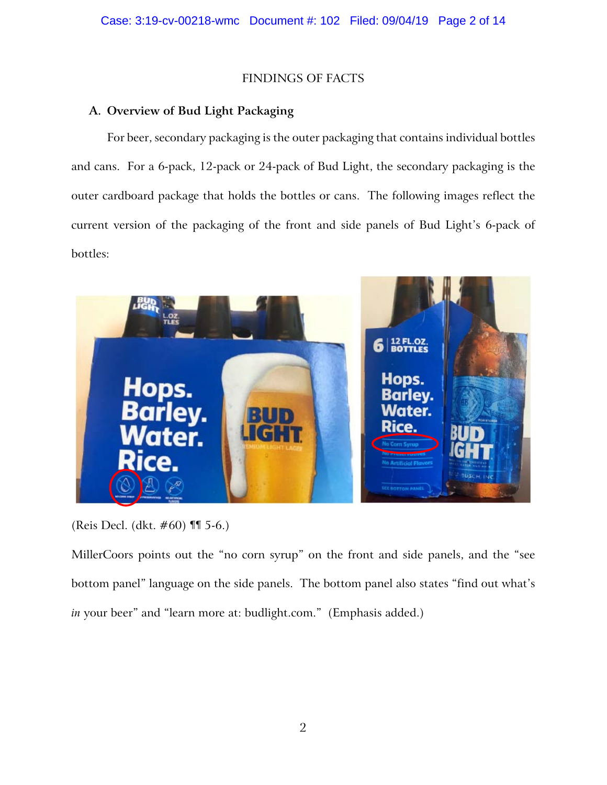# FINDINGS OF FACTS

# **A. Overview of Bud Light Packaging**

For beer, secondary packaging is the outer packaging that contains individual bottles and cans. For a 6-pack, 12-pack or 24-pack of Bud Light, the secondary packaging is the outer cardboard package that holds the bottles or cans. The following images reflect the current version of the packaging of the front and side panels of Bud Light's 6-pack of bottles:



(Reis Decl. (dkt. #60) ¶¶ 5-6.)

MillerCoors points out the "no corn syrup" on the front and side panels, and the "see bottom panel" language on the side panels. The bottom panel also states "find out what's *in* your beer" and "learn more at: budlight.com." (Emphasis added.)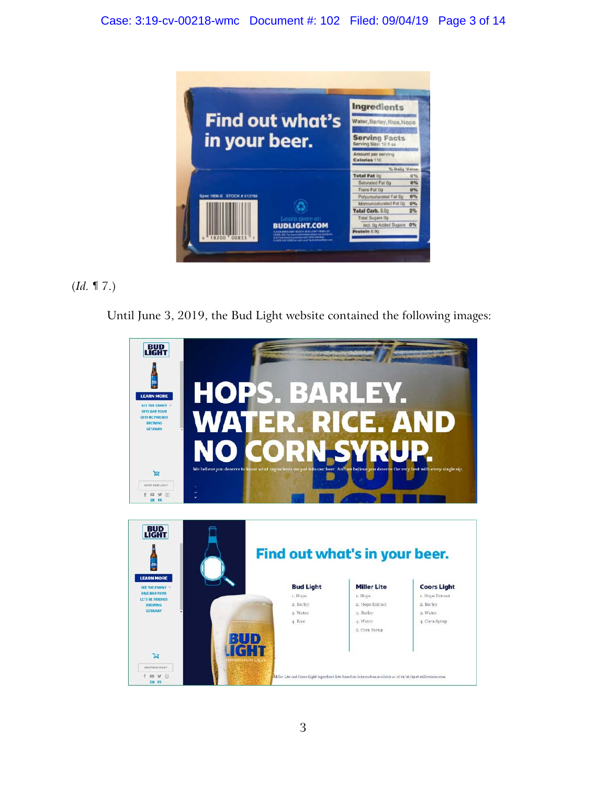

# (*Id.* ¶ 7.)

Until June 3, 2019, the Bud Light website contained the following images:

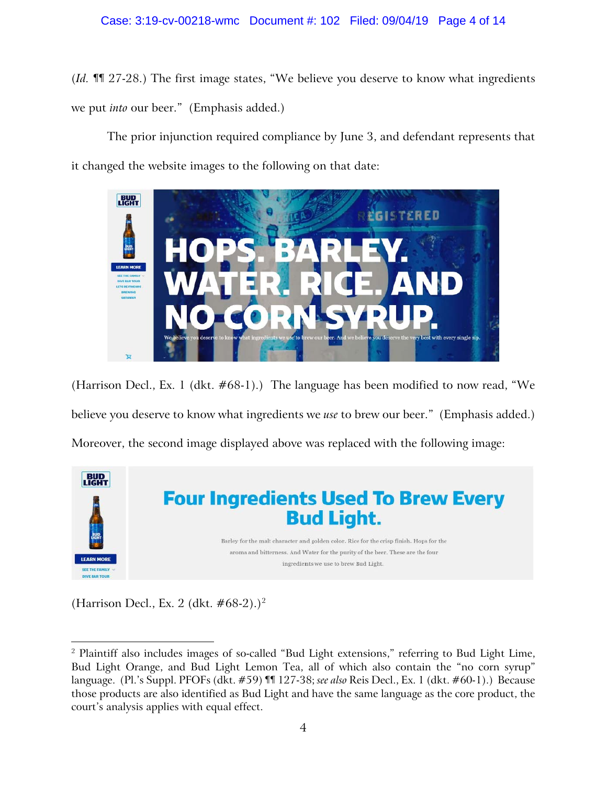(*Id.* ¶¶ 27-28.) The first image states, "We believe you deserve to know what ingredients we put *into* our beer." (Emphasis added.)

The prior injunction required compliance by June 3, and defendant represents that it changed the website images to the following on that date:



(Harrison Decl., Ex. 1 (dkt. #68-1).) The language has been modified to now read, "We believe you deserve to know what ingredients we *use* to brew our beer." (Emphasis added.) Moreover, the second image displayed above was replaced with the following image:



(Harrison Decl., Ex. [2](#page-3-0) (dkt.  $\#68-2$ ).)<sup>2</sup>

 $\overline{a}$ 

<span id="page-3-0"></span><sup>&</sup>lt;sup>2</sup> Plaintiff also includes images of so-called "Bud Light extensions," referring to Bud Light Lime, Bud Light Orange, and Bud Light Lemon Tea, all of which also contain the "no corn syrup" language. (Pl.'s Suppl. PFOFs (dkt. #59) ¶¶ 127-38; *see also* Reis Decl., Ex. 1 (dkt. #60-1).) Because those products are also identified as Bud Light and have the same language as the core product, the court's analysis applies with equal effect.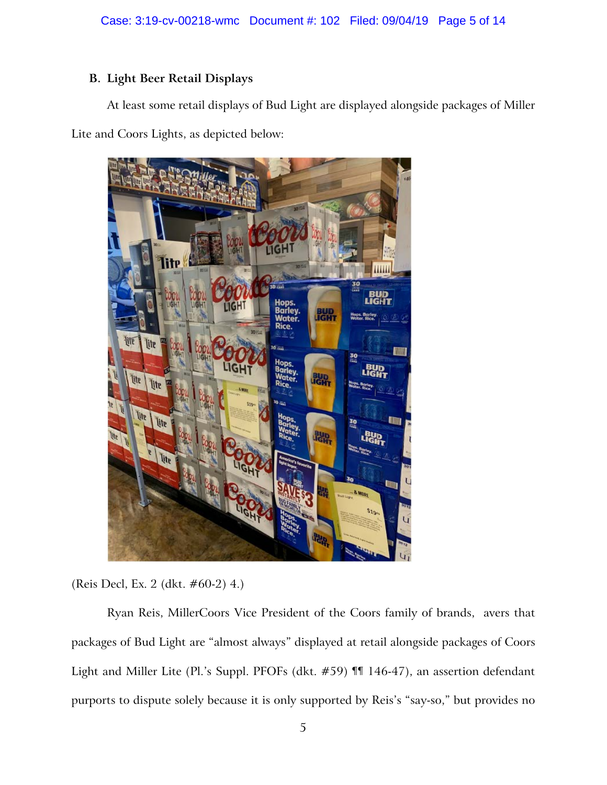# **B. Light Beer Retail Displays**

At least some retail displays of Bud Light are displayed alongside packages of Miller Lite and Coors Lights, as depicted below:



(Reis Decl, Ex. 2 (dkt. #60-2) 4.)

Ryan Reis, MillerCoors Vice President of the Coors family of brands, avers that packages of Bud Light are "almost always" displayed at retail alongside packages of Coors Light and Miller Lite (Pl.'s Suppl. PFOFs (dkt. #59) ¶¶ 146-47), an assertion defendant purports to dispute solely because it is only supported by Reis's "say-so," but provides no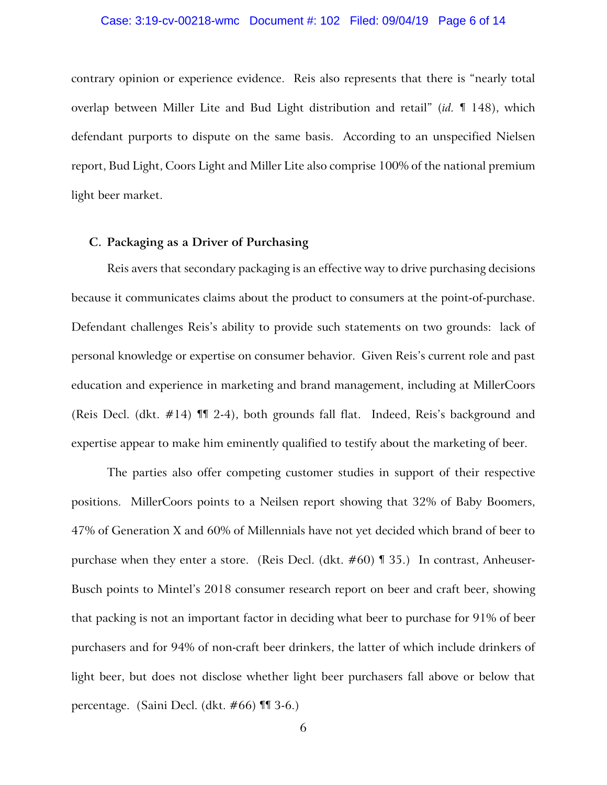#### Case: 3:19-cv-00218-wmc Document #: 102 Filed: 09/04/19 Page 6 of 14

contrary opinion or experience evidence. Reis also represents that there is "nearly total overlap between Miller Lite and Bud Light distribution and retail" (*id.* ¶ 148), which defendant purports to dispute on the same basis. According to an unspecified Nielsen report, Bud Light, Coors Light and Miller Lite also comprise 100% of the national premium light beer market.

## **C. Packaging as a Driver of Purchasing**

Reis avers that secondary packaging is an effective way to drive purchasing decisions because it communicates claims about the product to consumers at the point-of-purchase. Defendant challenges Reis's ability to provide such statements on two grounds: lack of personal knowledge or expertise on consumer behavior. Given Reis's current role and past education and experience in marketing and brand management, including at MillerCoors (Reis Decl. (dkt. #14) ¶¶ 2-4), both grounds fall flat. Indeed, Reis's background and expertise appear to make him eminently qualified to testify about the marketing of beer.

The parties also offer competing customer studies in support of their respective positions. MillerCoors points to a Neilsen report showing that 32% of Baby Boomers, 47% of Generation X and 60% of Millennials have not yet decided which brand of beer to purchase when they enter a store. (Reis Decl. (dkt. #60) ¶ 35.) In contrast, Anheuser-Busch points to Mintel's 2018 consumer research report on beer and craft beer, showing that packing is not an important factor in deciding what beer to purchase for 91% of beer purchasers and for 94% of non-craft beer drinkers, the latter of which include drinkers of light beer, but does not disclose whether light beer purchasers fall above or below that percentage. (Saini Decl. (dkt. #66) ¶¶ 3-6.)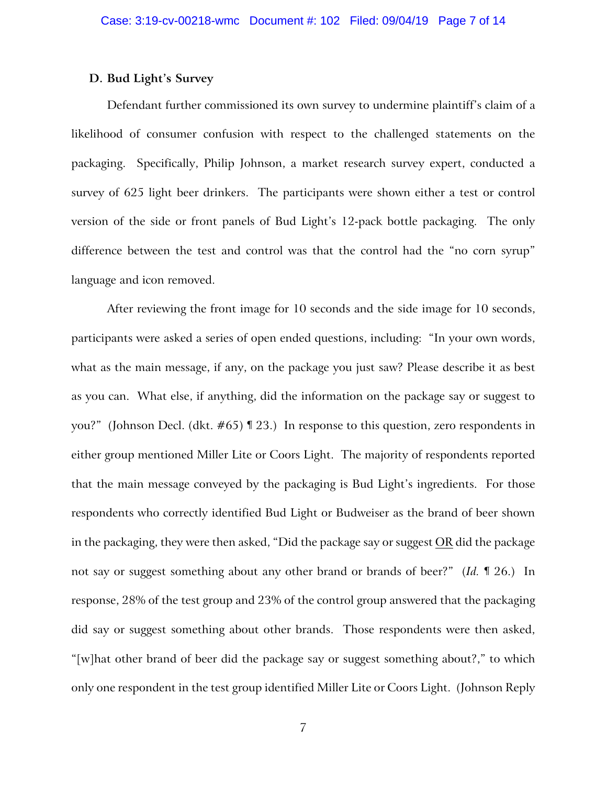## **D. Bud Light's Survey**

Defendant further commissioned its own survey to undermine plaintiff's claim of a likelihood of consumer confusion with respect to the challenged statements on the packaging. Specifically, Philip Johnson, a market research survey expert, conducted a survey of 625 light beer drinkers. The participants were shown either a test or control version of the side or front panels of Bud Light's 12-pack bottle packaging. The only difference between the test and control was that the control had the "no corn syrup" language and icon removed.

After reviewing the front image for 10 seconds and the side image for 10 seconds, participants were asked a series of open ended questions, including: "In your own words, what as the main message, if any, on the package you just saw? Please describe it as best as you can. What else, if anything, did the information on the package say or suggest to you?" (Johnson Decl. (dkt. #65) ¶ 23.) In response to this question, zero respondents in either group mentioned Miller Lite or Coors Light. The majority of respondents reported that the main message conveyed by the packaging is Bud Light's ingredients. For those respondents who correctly identified Bud Light or Budweiser as the brand of beer shown in the packaging, they were then asked, "Did the package say or suggest OR did the package not say or suggest something about any other brand or brands of beer?" (*Id.* ¶ 26.) In response, 28% of the test group and 23% of the control group answered that the packaging did say or suggest something about other brands. Those respondents were then asked, "[w]hat other brand of beer did the package say or suggest something about?," to which only one respondent in the test group identified Miller Lite or Coors Light. (Johnson Reply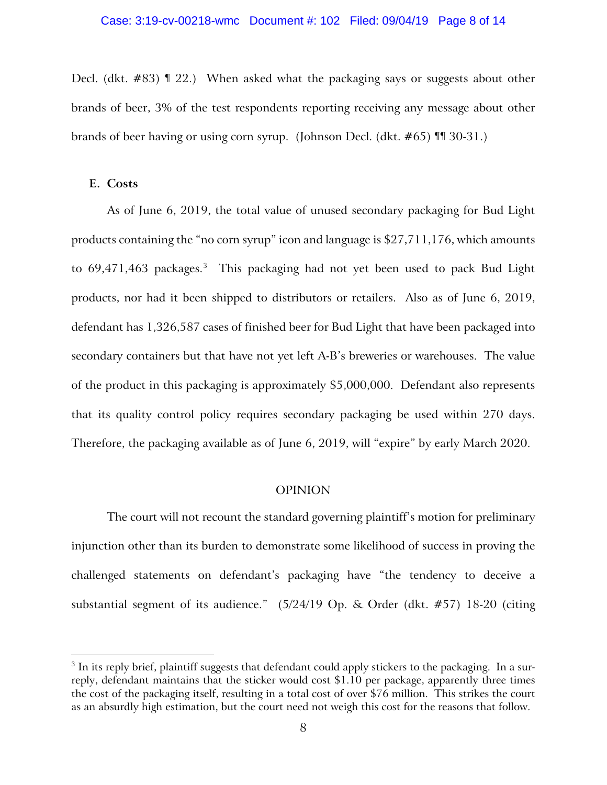Decl. (dkt. #83) ¶ 22.) When asked what the packaging says or suggests about other brands of beer, 3% of the test respondents reporting receiving any message about other brands of beer having or using corn syrup. (Johnson Decl. (dkt. #65) ¶¶ 30-31.)

### **E. Costs**

 $\overline{a}$ 

As of June 6, 2019, the total value of unused secondary packaging for Bud Light products containing the "no corn syrup" icon and language is \$27,711,176, which amounts to 69,471,46[3](#page-7-0) packages.<sup>3</sup> This packaging had not yet been used to pack Bud Light products, nor had it been shipped to distributors or retailers. Also as of June 6, 2019, defendant has 1,326,587 cases of finished beer for Bud Light that have been packaged into secondary containers but that have not yet left A-B's breweries or warehouses. The value of the product in this packaging is approximately \$5,000,000. Defendant also represents that its quality control policy requires secondary packaging be used within 270 days. Therefore, the packaging available as of June 6, 2019, will "expire" by early March 2020.

## OPINION

The court will not recount the standard governing plaintiff's motion for preliminary injunction other than its burden to demonstrate some likelihood of success in proving the challenged statements on defendant's packaging have "the tendency to deceive a substantial segment of its audience." (5/24/19 Op. & Order (dkt. #57) 18-20 (citing

<span id="page-7-0"></span><sup>&</sup>lt;sup>3</sup> In its reply brief, plaintiff suggests that defendant could apply stickers to the packaging. In a surreply, defendant maintains that the sticker would cost \$1.10 per package, apparently three times the cost of the packaging itself, resulting in a total cost of over \$76 million. This strikes the court as an absurdly high estimation, but the court need not weigh this cost for the reasons that follow.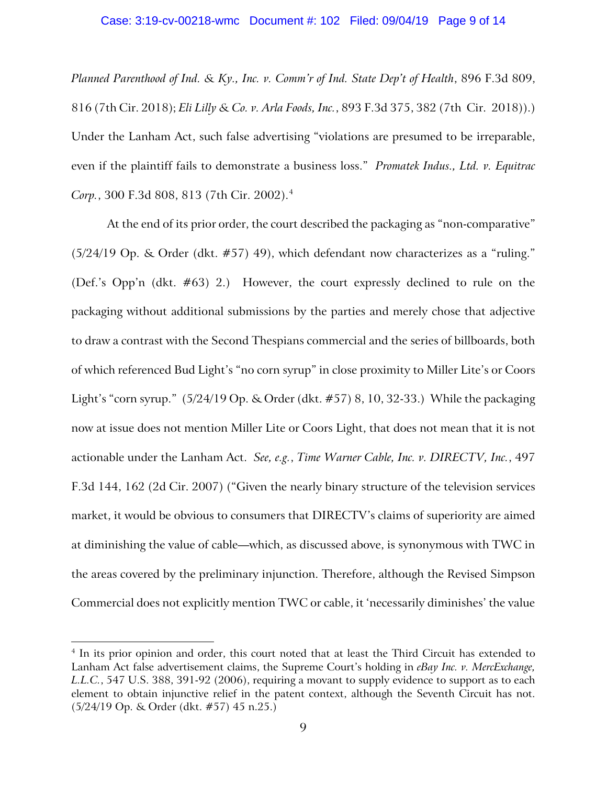#### Case: 3:19-cv-00218-wmc Document #: 102 Filed: 09/04/19 Page 9 of 14

*Planned Parenthood of Ind. & Ky., Inc. v. Comm'r of Ind. State Dep't of Health*, 896 F.3d 809, 816 (7th Cir. 2018); *Eli Lilly & Co. v. Arla Foods, Inc.*, 893 F.3d 375, 382 (7th Cir. 2018)).) Under the Lanham Act, such false advertising "violations are presumed to be irreparable, even if the plaintiff fails to demonstrate a business loss." *Promatek Indus., Ltd. v. Equitrac Corp.*, 300 F.3d 808, 813 (7th Cir. 2002).[4](#page-8-0)

At the end of its prior order, the court described the packaging as "non-comparative" (5/24/19 Op. & Order (dkt. #57) 49), which defendant now characterizes as a "ruling." (Def.'s Opp'n (dkt. #63) 2.) However, the court expressly declined to rule on the packaging without additional submissions by the parties and merely chose that adjective to draw a contrast with the Second Thespians commercial and the series of billboards, both of which referenced Bud Light's "no corn syrup" in close proximity to Miller Lite's or Coors Light's "corn syrup." (5/24/19 Op. & Order (dkt. #57) 8, 10, 32-33.) While the packaging now at issue does not mention Miller Lite or Coors Light, that does not mean that it is not actionable under the Lanham Act. *See, e.g.*, *Time Warner Cable, Inc. v. DIRECTV, Inc.*, 497 F.3d 144, 162 (2d Cir. 2007) ("Given the nearly binary structure of the television services market, it would be obvious to consumers that DIRECTV's claims of superiority are aimed at diminishing the value of cable—which, as discussed above, is synonymous with TWC in the areas covered by the preliminary injunction. Therefore, although the Revised Simpson Commercial does not explicitly mention TWC or cable, it 'necessarily diminishes' the value

 $\overline{a}$ 

<span id="page-8-0"></span><sup>&</sup>lt;sup>4</sup> In its prior opinion and order, this court noted that at least the Third Circuit has extended to Lanham Act false advertisement claims, the Supreme Court's holding in *eBay Inc. v. MercExchange, L.L.C.*, 547 U.S. 388, 391-92 (2006), requiring a movant to supply evidence to support as to each element to obtain injunctive relief in the patent context, although the Seventh Circuit has not. (5/24/19 Op. & Order (dkt. #57) 45 n.25.)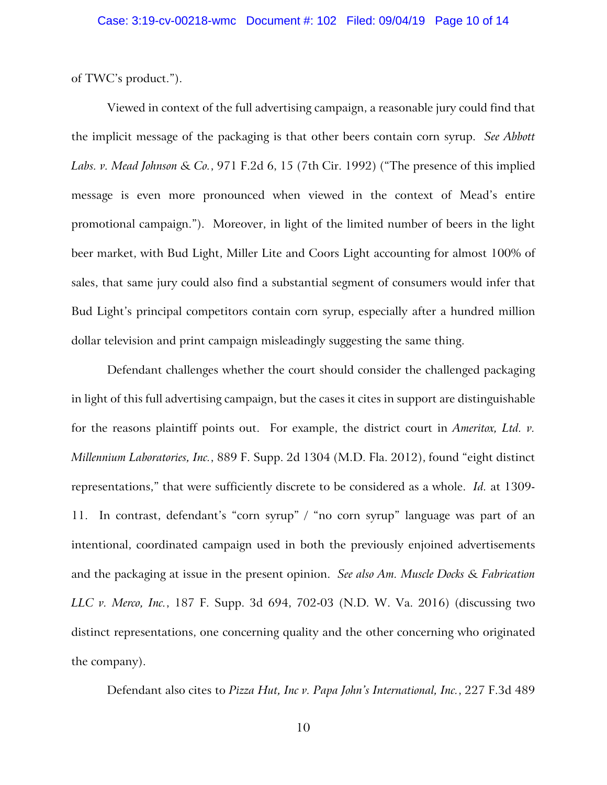of TWC's product.").

Viewed in context of the full advertising campaign, a reasonable jury could find that the implicit message of the packaging is that other beers contain corn syrup. *See Abbott Labs. v. Mead Johnson & Co.*, 971 F.2d 6, 15 (7th Cir. 1992) ("The presence of this implied message is even more pronounced when viewed in the context of Mead's entire promotional campaign."). Moreover, in light of the limited number of beers in the light beer market, with Bud Light, Miller Lite and Coors Light accounting for almost 100% of sales, that same jury could also find a substantial segment of consumers would infer that Bud Light's principal competitors contain corn syrup, especially after a hundred million dollar television and print campaign misleadingly suggesting the same thing.

Defendant challenges whether the court should consider the challenged packaging in light of this full advertising campaign, but the cases it cites in support are distinguishable for the reasons plaintiff points out. For example, the district court in *Ameritox, Ltd. v. Millennium Laboratories, Inc.*, 889 F. Supp. 2d 1304 (M.D. Fla. 2012), found "eight distinct representations," that were sufficiently discrete to be considered as a whole. *Id.* at 1309- 11. In contrast, defendant's "corn syrup" / "no corn syrup" language was part of an intentional, coordinated campaign used in both the previously enjoined advertisements and the packaging at issue in the present opinion. *See also Am. Muscle Docks & Fabrication LLC v. Merco, Inc.*, 187 F. Supp. 3d 694, 702-03 (N.D. W. Va. 2016) (discussing two distinct representations, one concerning quality and the other concerning who originated the company).

Defendant also cites to *Pizza Hut, Inc v. Papa John's International, Inc.*, 227 F.3d 489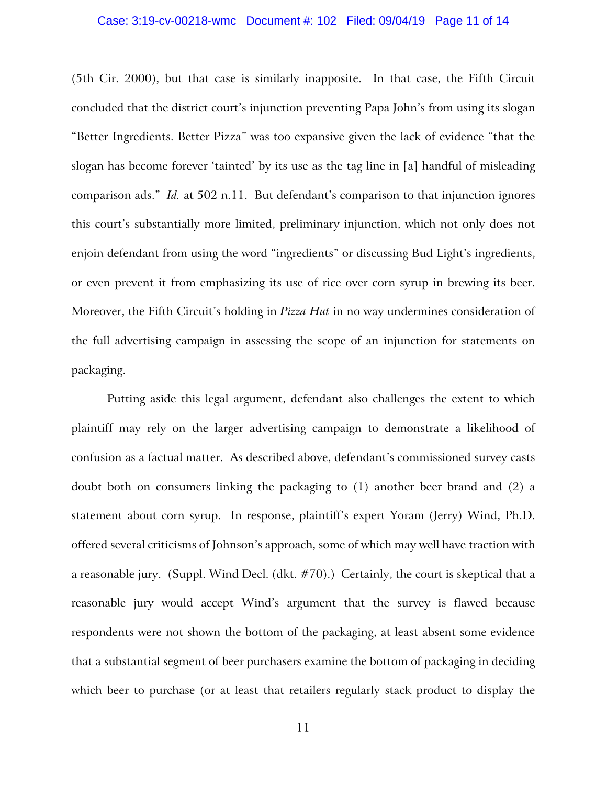#### Case: 3:19-cv-00218-wmc Document #: 102 Filed: 09/04/19 Page 11 of 14

(5th Cir. 2000), but that case is similarly inapposite. In that case, the Fifth Circuit concluded that the district court's injunction preventing Papa John's from using its slogan "Better Ingredients. Better Pizza" was too expansive given the lack of evidence "that the slogan has become forever 'tainted' by its use as the tag line in [a] handful of misleading comparison ads." *Id.* at 502 n.11. But defendant's comparison to that injunction ignores this court's substantially more limited, preliminary injunction, which not only does not enjoin defendant from using the word "ingredients" or discussing Bud Light's ingredients, or even prevent it from emphasizing its use of rice over corn syrup in brewing its beer. Moreover, the Fifth Circuit's holding in *Pizza Hut* in no way undermines consideration of the full advertising campaign in assessing the scope of an injunction for statements on packaging.

Putting aside this legal argument, defendant also challenges the extent to which plaintiff may rely on the larger advertising campaign to demonstrate a likelihood of confusion as a factual matter. As described above, defendant's commissioned survey casts doubt both on consumers linking the packaging to (1) another beer brand and (2) a statement about corn syrup. In response, plaintiff's expert Yoram (Jerry) Wind, Ph.D. offered several criticisms of Johnson's approach, some of which may well have traction with a reasonable jury. (Suppl. Wind Decl. (dkt. #70).) Certainly, the court is skeptical that a reasonable jury would accept Wind's argument that the survey is flawed because respondents were not shown the bottom of the packaging, at least absent some evidence that a substantial segment of beer purchasers examine the bottom of packaging in deciding which beer to purchase (or at least that retailers regularly stack product to display the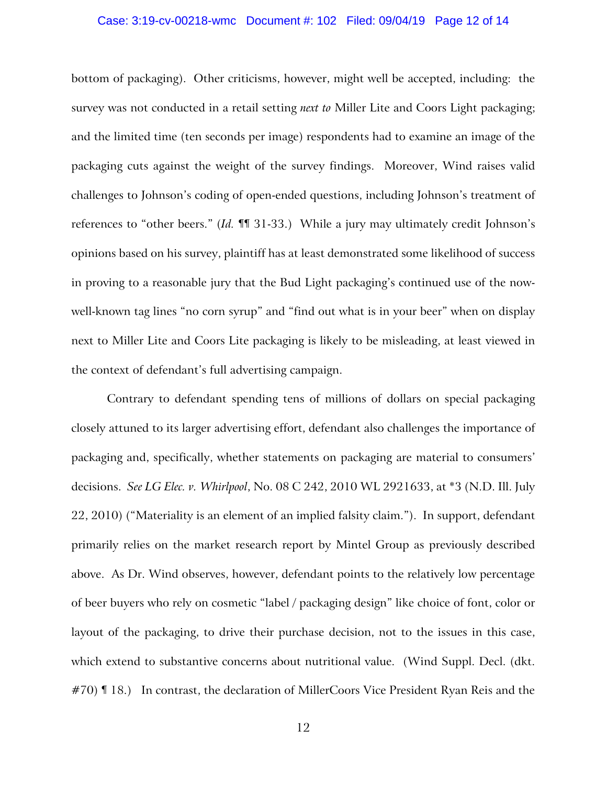#### Case: 3:19-cv-00218-wmc Document #: 102 Filed: 09/04/19 Page 12 of 14

bottom of packaging). Other criticisms, however, might well be accepted, including: the survey was not conducted in a retail setting *next to* Miller Lite and Coors Light packaging; and the limited time (ten seconds per image) respondents had to examine an image of the packaging cuts against the weight of the survey findings. Moreover, Wind raises valid challenges to Johnson's coding of open-ended questions, including Johnson's treatment of references to "other beers." (*Id.* ¶¶ 31-33.) While a jury may ultimately credit Johnson's opinions based on his survey, plaintiff has at least demonstrated some likelihood of success in proving to a reasonable jury that the Bud Light packaging's continued use of the nowwell-known tag lines "no corn syrup" and "find out what is in your beer" when on display next to Miller Lite and Coors Lite packaging is likely to be misleading, at least viewed in the context of defendant's full advertising campaign.

Contrary to defendant spending tens of millions of dollars on special packaging closely attuned to its larger advertising effort, defendant also challenges the importance of packaging and, specifically, whether statements on packaging are material to consumers' decisions. *See LG Elec. v. Whirlpool*, No. 08 C 242, 2010 WL 2921633, at \*3 (N.D. Ill. July 22, 2010) ("Materiality is an element of an implied falsity claim."). In support, defendant primarily relies on the market research report by Mintel Group as previously described above. As Dr. Wind observes, however, defendant points to the relatively low percentage of beer buyers who rely on cosmetic "label / packaging design" like choice of font, color or layout of the packaging, to drive their purchase decision, not to the issues in this case, which extend to substantive concerns about nutritional value. (Wind Suppl. Decl. (dkt. #70) II 18.) In contrast, the declaration of MillerCoors Vice President Ryan Reis and the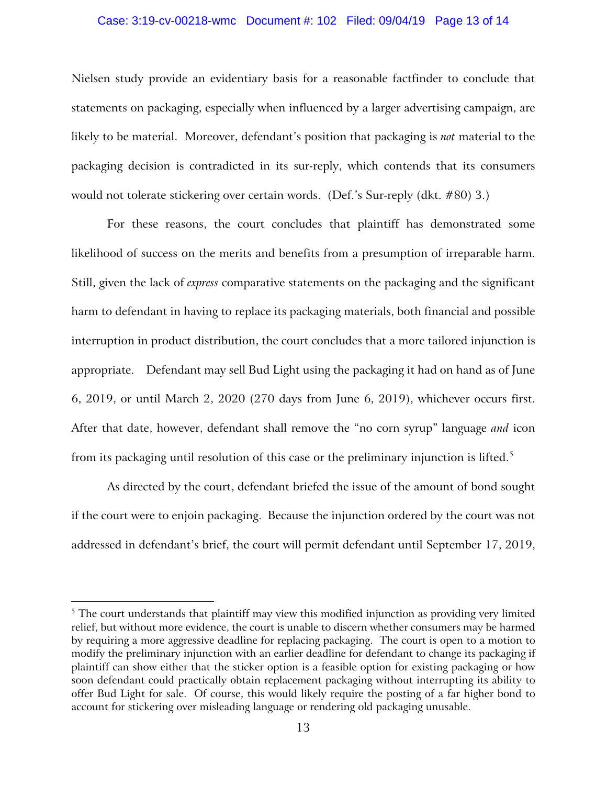### Case: 3:19-cv-00218-wmc Document #: 102 Filed: 09/04/19 Page 13 of 14

Nielsen study provide an evidentiary basis for a reasonable factfinder to conclude that statements on packaging, especially when influenced by a larger advertising campaign, are likely to be material. Moreover, defendant's position that packaging is *not* material to the packaging decision is contradicted in its sur-reply, which contends that its consumers would not tolerate stickering over certain words. (Def.'s Sur-reply (dkt. #80) 3.)

For these reasons, the court concludes that plaintiff has demonstrated some likelihood of success on the merits and benefits from a presumption of irreparable harm. Still, given the lack of *express* comparative statements on the packaging and the significant harm to defendant in having to replace its packaging materials, both financial and possible interruption in product distribution, the court concludes that a more tailored injunction is appropriate. Defendant may sell Bud Light using the packaging it had on hand as of June 6, 2019, or until March 2, 2020 (270 days from June 6, 2019), whichever occurs first. After that date, however, defendant shall remove the "no corn syrup" language *and* icon from its packaging until resolution of this case or the preliminary injunction is lifted. [5](#page-12-0)

As directed by the court, defendant briefed the issue of the amount of bond sought if the court were to enjoin packaging. Because the injunction ordered by the court was not addressed in defendant's brief, the court will permit defendant until September 17, 2019,

 $\overline{a}$ 

<span id="page-12-0"></span> $5$  The court understands that plaintiff may view this modified injunction as providing very limited relief, but without more evidence, the court is unable to discern whether consumers may be harmed by requiring a more aggressive deadline for replacing packaging. The court is open to a motion to modify the preliminary injunction with an earlier deadline for defendant to change its packaging if plaintiff can show either that the sticker option is a feasible option for existing packaging or how soon defendant could practically obtain replacement packaging without interrupting its ability to offer Bud Light for sale. Of course, this would likely require the posting of a far higher bond to account for stickering over misleading language or rendering old packaging unusable.